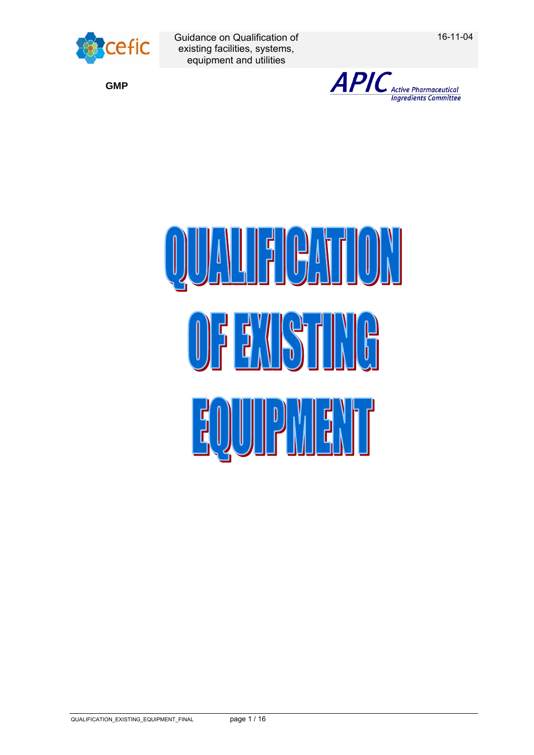

16-11-04

**GMP**



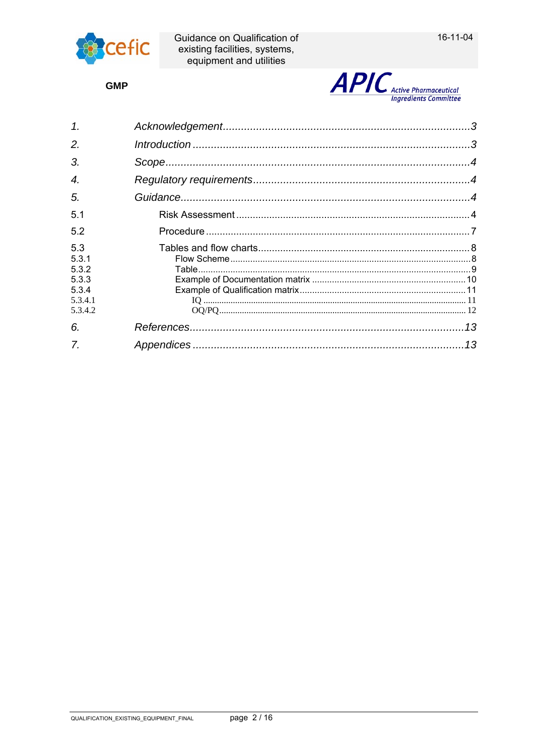

**GMP** 



| $\mathcal{I}$ .                                               |  |
|---------------------------------------------------------------|--|
| 2.                                                            |  |
| 3.                                                            |  |
| 4.                                                            |  |
| 5.                                                            |  |
| 5.1                                                           |  |
| 5.2                                                           |  |
| 5.3<br>5.3.1<br>5.3.2<br>5.3.3<br>5.3.4<br>5.3.4.1<br>5.3.4.2 |  |
| 6.                                                            |  |
|                                                               |  |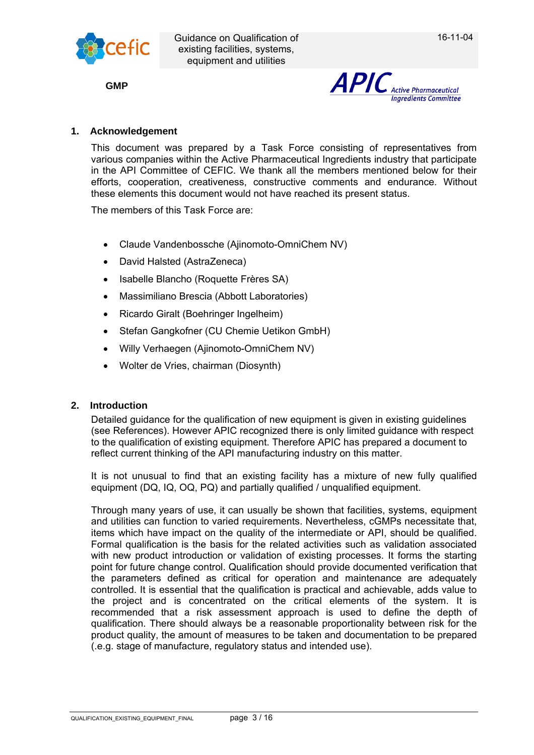

**GMP**



# **1. Acknowledgement**

This document was prepared by a Task Force consisting of representatives from various companies within the Active Pharmaceutical Ingredients industry that participate in the API Committee of CEFIC. We thank all the members mentioned below for their efforts, cooperation, creativeness, constructive comments and endurance. Without these elements this document would not have reached its present status.

The members of this Task Force are:

- Claude Vandenbossche (Ajinomoto-OmniChem NV)
- David Halsted (AstraZeneca)
- Isabelle Blancho (Roquette Frères SA)
- Massimiliano Brescia (Abbott Laboratories)
- Ricardo Giralt (Boehringer Ingelheim)
- Stefan Gangkofner (CU Chemie Uetikon GmbH)
- Willy Verhaegen (Ajinomoto-OmniChem NV)
- Wolter de Vries, chairman (Diosynth)

# **2. Introduction**

Detailed guidance for the qualification of new equipment is given in existing guidelines (see References). However APIC recognized there is only limited guidance with respect to the qualification of existing equipment. Therefore APIC has prepared a document to reflect current thinking of the API manufacturing industry on this matter.

It is not unusual to find that an existing facility has a mixture of new fully qualified equipment (DQ, IQ, OQ, PQ) and partially qualified / unqualified equipment.

Through many years of use, it can usually be shown that facilities, systems, equipment and utilities can function to varied requirements. Nevertheless, cGMPs necessitate that, items which have impact on the quality of the intermediate or API, should be qualified. Formal qualification is the basis for the related activities such as validation associated with new product introduction or validation of existing processes. It forms the starting point for future change control. Qualification should provide documented verification that the parameters defined as critical for operation and maintenance are adequately controlled. It is essential that the qualification is practical and achievable, adds value to the project and is concentrated on the critical elements of the system. It is recommended that a risk assessment approach is used to define the depth of qualification. There should always be a reasonable proportionality between risk for the product quality, the amount of measures to be taken and documentation to be prepared (.e.g. stage of manufacture, regulatory status and intended use).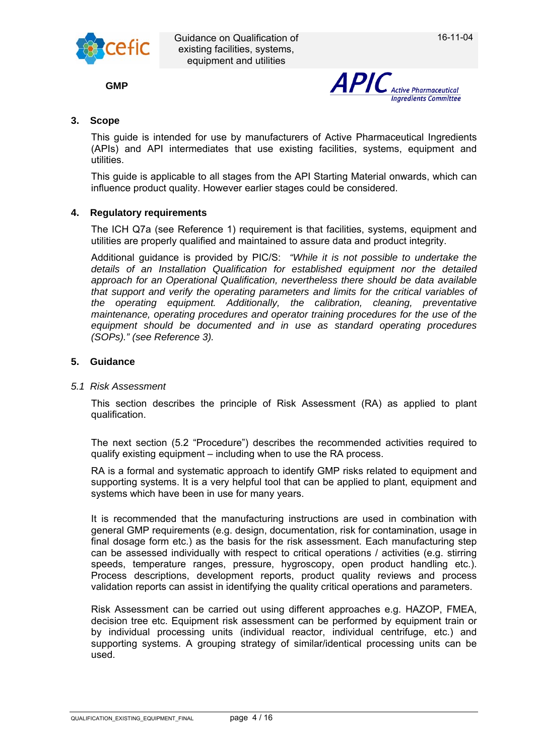

**GMP**



## **3. Scope**

This guide is intended for use by manufacturers of Active Pharmaceutical Ingredients (APIs) and API intermediates that use existing facilities, systems, equipment and utilities.

This guide is applicable to all stages from the API Starting Material onwards, which can influence product quality. However earlier stages could be considered.

#### **4. Regulatory requirements**

The ICH Q7a (see Reference 1) requirement is that facilities, systems, equipment and utilities are properly qualified and maintained to assure data and product integrity.

Additional guidance is provided by PIC/S: *"While it is not possible to undertake the details of an Installation Qualification for established equipment nor the detailed approach for an Operational Qualification, nevertheless there should be data available that support and verify the operating parameters and limits for the critical variables of the operating equipment. Additionally, the calibration, cleaning, preventative maintenance, operating procedures and operator training procedures for the use of the equipment should be documented and in use as standard operating procedures (SOPs)." (see Reference 3).* 

#### **5. Guidance**

#### *5.1 Risk Assessment*

This section describes the principle of Risk Assessment (RA) as applied to plant qualification.

The next section (5.2 "Procedure") describes the recommended activities required to qualify existing equipment – including when to use the RA process.

RA is a formal and systematic approach to identify GMP risks related to equipment and supporting systems. It is a very helpful tool that can be applied to plant, equipment and systems which have been in use for many years.

It is recommended that the manufacturing instructions are used in combination with general GMP requirements (e.g. design, documentation, risk for contamination, usage in final dosage form etc.) as the basis for the risk assessment. Each manufacturing step can be assessed individually with respect to critical operations / activities (e.g. stirring speeds, temperature ranges, pressure, hygroscopy, open product handling etc.). Process descriptions, development reports, product quality reviews and process validation reports can assist in identifying the quality critical operations and parameters.

Risk Assessment can be carried out using different approaches e.g. HAZOP, FMEA, decision tree etc. Equipment risk assessment can be performed by equipment train or by individual processing units (individual reactor, individual centrifuge, etc.) and supporting systems. A grouping strategy of similar/identical processing units can be used.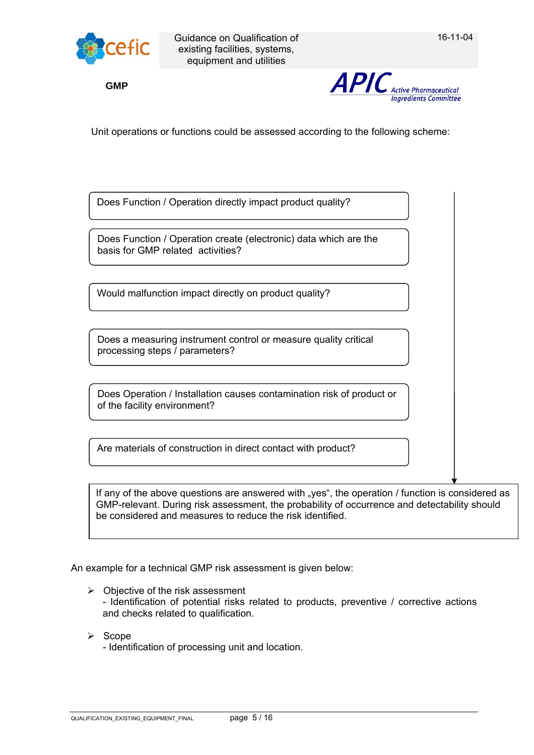

**GMP**



Unit operations or functions could be assessed according to the following scheme:

Does Function / Operation directly impact product quality?

Does Function / Operation create (electronic) data which are the basis for GMP related activities?

Would malfunction impact directly on product quality?

Does a measuring instrument control or measure quality critical processing steps / parameters?

| Does Operation / Installation causes contamination risk of product or |  |
|-----------------------------------------------------------------------|--|
| of the facility environment?                                          |  |

Are materials of construction in direct contact with product?

If any of the above questions are answered with "yes", the operation / function is considered as GMP-relevant. During risk assessment, the probability of occurrence and detectability should be considered and measures to reduce the risk identified.

An example for a technical GMP risk assessment is given below:

- $\triangleright$  Objective of the risk assessment - Identification of potential risks related to products, preventive / corrective actions and checks related to qualification.
- $\triangleright$  Scope

- Identification of processing unit and location.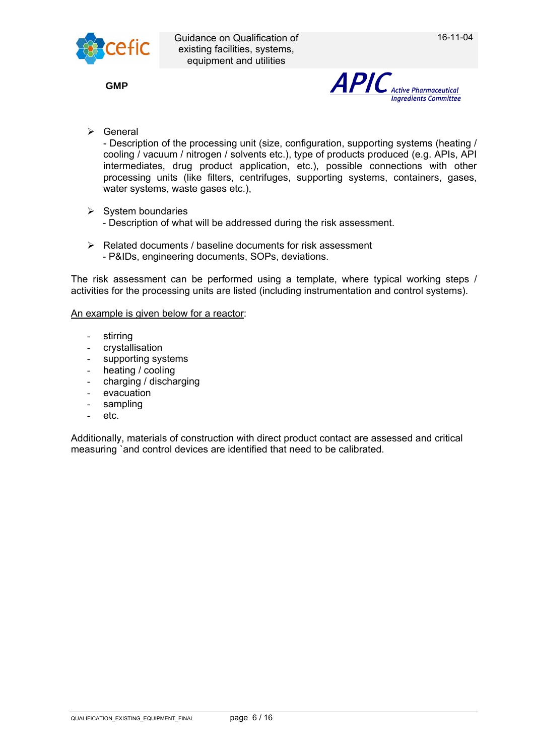

**GMP**



 $\triangleright$  General

- Description of the processing unit (size, configuration, supporting systems (heating / cooling / vacuum / nitrogen / solvents etc.), type of products produced (e.g. APIs, API intermediates, drug product application, etc.), possible connections with other processing units (like filters, centrifuges, supporting systems, containers, gases, water systems, waste gases etc.),

- $\triangleright$  System boundaries
	- Description of what will be addressed during the risk assessment.
- $\triangleright$  Related documents / baseline documents for risk assessment - P&IDs, engineering documents, SOPs, deviations.

The risk assessment can be performed using a template, where typical working steps / activities for the processing units are listed (including instrumentation and control systems).

An example is given below for a reactor:

- stirring
- crystallisation
- supporting systems
- heating / cooling
- charging / discharging
- evacuation
- sampling
- etc.

Additionally, materials of construction with direct product contact are assessed and critical measuring `and control devices are identified that need to be calibrated.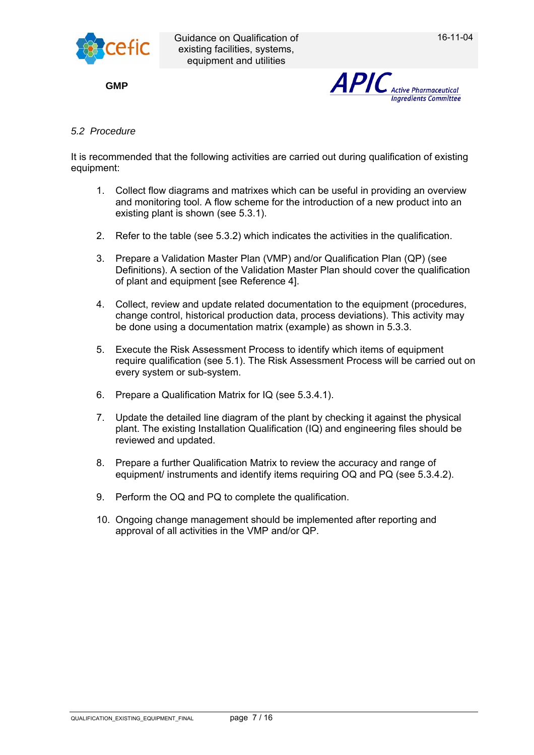

**GMP**



## *5.2 Procedure*

It is recommended that the following activities are carried out during qualification of existing equipment:

- 1. Collect flow diagrams and matrixes which can be useful in providing an overview and monitoring tool. A flow scheme for the introduction of a new product into an existing plant is shown (see 5.3.1).
- 2. Refer to the table (see 5.3.2) which indicates the activities in the qualification.
- 3. Prepare a Validation Master Plan (VMP) and/or Qualification Plan (QP) (see Definitions). A section of the Validation Master Plan should cover the qualification of plant and equipment [see Reference 4].
- 4. Collect, review and update related documentation to the equipment (procedures, change control, historical production data, process deviations). This activity may be done using a documentation matrix (example) as shown in 5.3.3.
- 5. Execute the Risk Assessment Process to identify which items of equipment require qualification (see 5.1). The Risk Assessment Process will be carried out on every system or sub-system.
- 6. Prepare a Qualification Matrix for IQ (see 5.3.4.1).
- 7. Update the detailed line diagram of the plant by checking it against the physical plant. The existing Installation Qualification (IQ) and engineering files should be reviewed and updated.
- 8. Prepare a further Qualification Matrix to review the accuracy and range of equipment/ instruments and identify items requiring OQ and PQ (see 5.3.4.2).
- 9. Perform the OQ and PQ to complete the qualification.
- 10. Ongoing change management should be implemented after reporting and approval of all activities in the VMP and/or QP.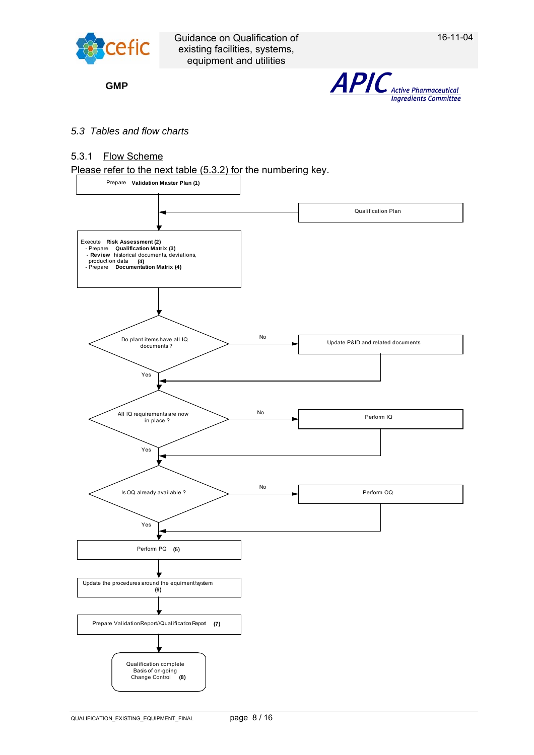

**GMP**



### *5.3 Tables and flow charts*

## 5.3.1 Flow Scheme

Please refer to the next table (5.3.2) for the numbering key.

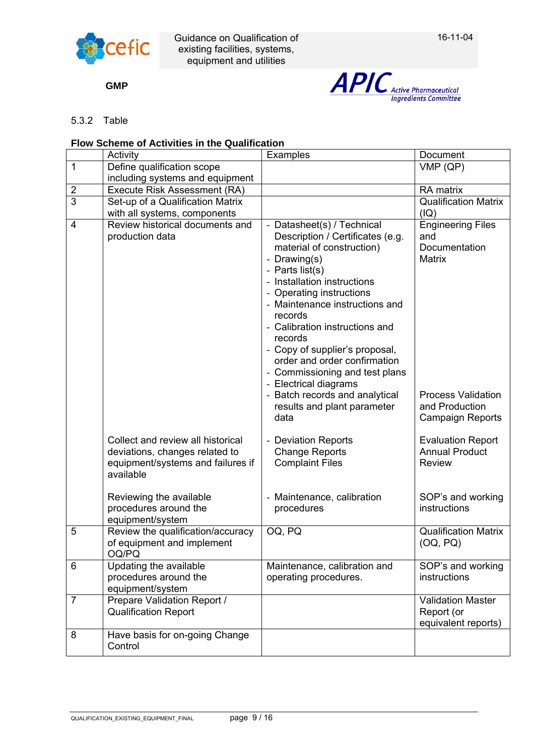

**GMP**



# 5.3.2 Table

# **Flow Scheme of Activities in the Qualification**

|                | Activity                                                                                                              | Examples                                                                                                                                                                                                                                                                                                                                                                                                                                                                                  | Document                                                                                                                                    |
|----------------|-----------------------------------------------------------------------------------------------------------------------|-------------------------------------------------------------------------------------------------------------------------------------------------------------------------------------------------------------------------------------------------------------------------------------------------------------------------------------------------------------------------------------------------------------------------------------------------------------------------------------------|---------------------------------------------------------------------------------------------------------------------------------------------|
| $\mathbf 1$    | Define qualification scope                                                                                            |                                                                                                                                                                                                                                                                                                                                                                                                                                                                                           | VMP(QP)                                                                                                                                     |
|                | including systems and equipment                                                                                       |                                                                                                                                                                                                                                                                                                                                                                                                                                                                                           |                                                                                                                                             |
| $\overline{c}$ | Execute Risk Assessment (RA)                                                                                          |                                                                                                                                                                                                                                                                                                                                                                                                                                                                                           | RA matrix                                                                                                                                   |
| $\overline{3}$ | Set-up of a Qualification Matrix                                                                                      |                                                                                                                                                                                                                                                                                                                                                                                                                                                                                           | <b>Qualification Matrix</b>                                                                                                                 |
|                | with all systems, components                                                                                          |                                                                                                                                                                                                                                                                                                                                                                                                                                                                                           | (IQ)                                                                                                                                        |
| $\overline{4}$ | Review historical documents and<br>production data                                                                    | - Datasheet(s) / Technical<br>Description / Certificates (e.g.<br>material of construction)<br>- Drawing(s)<br>- Parts list(s)<br>- Installation instructions<br>- Operating instructions<br>- Maintenance instructions and<br>records<br>- Calibration instructions and<br>records<br>- Copy of supplier's proposal,<br>order and order confirmation<br>- Commissioning and test plans<br>- Electrical diagrams<br>- Batch records and analytical<br>results and plant parameter<br>data | <b>Engineering Files</b><br>and<br>Documentation<br><b>Matrix</b><br><b>Process Validation</b><br>and Production<br><b>Campaign Reports</b> |
|                | Collect and review all historical<br>deviations, changes related to<br>equipment/systems and failures if<br>available | - Deviation Reports<br><b>Change Reports</b><br><b>Complaint Files</b>                                                                                                                                                                                                                                                                                                                                                                                                                    | <b>Evaluation Report</b><br><b>Annual Product</b><br><b>Review</b>                                                                          |
|                | Reviewing the available<br>procedures around the<br>equipment/system                                                  | - Maintenance, calibration<br>procedures                                                                                                                                                                                                                                                                                                                                                                                                                                                  | SOP's and working<br>instructions                                                                                                           |
| 5              | Review the qualification/accuracy<br>of equipment and implement<br>OQ/PQ                                              | OQ, PQ                                                                                                                                                                                                                                                                                                                                                                                                                                                                                    | <b>Qualification Matrix</b><br>(OQ, PQ)                                                                                                     |
| 6              | Updating the available<br>procedures around the<br>equipment/system                                                   | Maintenance, calibration and<br>operating procedures.                                                                                                                                                                                                                                                                                                                                                                                                                                     | SOP's and working<br>instructions                                                                                                           |
| $\overline{7}$ | Prepare Validation Report /<br><b>Qualification Report</b>                                                            |                                                                                                                                                                                                                                                                                                                                                                                                                                                                                           | <b>Validation Master</b><br>Report (or<br>equivalent reports)                                                                               |
| 8              | Have basis for on-going Change<br>Control                                                                             |                                                                                                                                                                                                                                                                                                                                                                                                                                                                                           |                                                                                                                                             |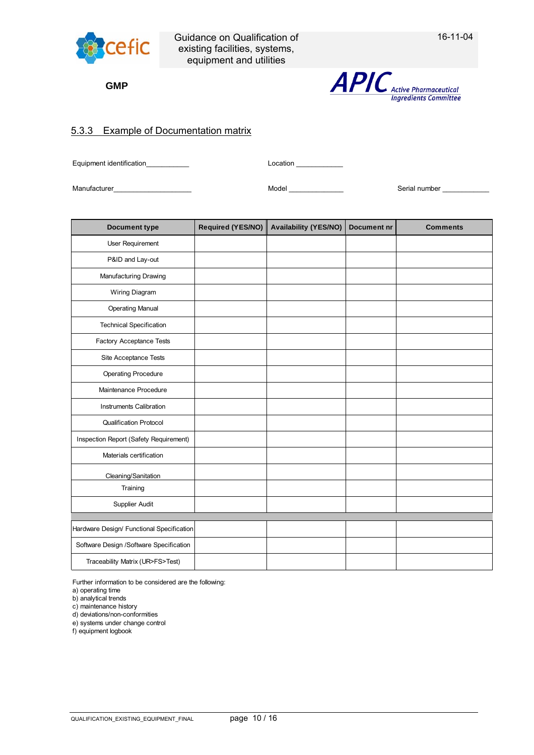

**GMP**



## 5.3.3 Example of Documentation matrix

Equipment identification example of the state of the Location Location example of the state of the Location  $\sim$ 

Manufacturer\_\_\_\_\_\_\_\_\_\_\_\_\_\_\_\_\_\_\_\_ Model \_\_\_\_\_\_\_\_\_\_\_\_\_\_ Serial number \_\_\_\_\_\_\_\_\_\_\_\_

| <b>Document type</b>                      | Required (YES/NO) | <b>Availability (YES/NO)</b> | <b>Document nr</b> | <b>Comments</b> |
|-------------------------------------------|-------------------|------------------------------|--------------------|-----------------|
| User Requirement                          |                   |                              |                    |                 |
| P&ID and Lay-out                          |                   |                              |                    |                 |
| Manufacturing Drawing                     |                   |                              |                    |                 |
| Wiring Diagram                            |                   |                              |                    |                 |
| <b>Operating Manual</b>                   |                   |                              |                    |                 |
| <b>Technical Specification</b>            |                   |                              |                    |                 |
| Factory Acceptance Tests                  |                   |                              |                    |                 |
| Site Acceptance Tests                     |                   |                              |                    |                 |
| <b>Operating Procedure</b>                |                   |                              |                    |                 |
| Maintenance Procedure                     |                   |                              |                    |                 |
| Instruments Calibration                   |                   |                              |                    |                 |
| <b>Qualification Protocol</b>             |                   |                              |                    |                 |
| Inspection Report (Safety Requirement)    |                   |                              |                    |                 |
| Materials certification                   |                   |                              |                    |                 |
| Cleaning/Sanitation                       |                   |                              |                    |                 |
| Training                                  |                   |                              |                    |                 |
| Supplier Audit                            |                   |                              |                    |                 |
|                                           |                   |                              |                    |                 |
| Hardware Design/ Functional Specification |                   |                              |                    |                 |
| Software Design / Software Specification  |                   |                              |                    |                 |
| Traceability Matrix (UR>FS>Test)          |                   |                              |                    |                 |

Further information to be considered are the following:

a) operating time

b) analytical trends

c) maintenance history

d) deviations/non-conformities e) systems under change control

f) equipment logbook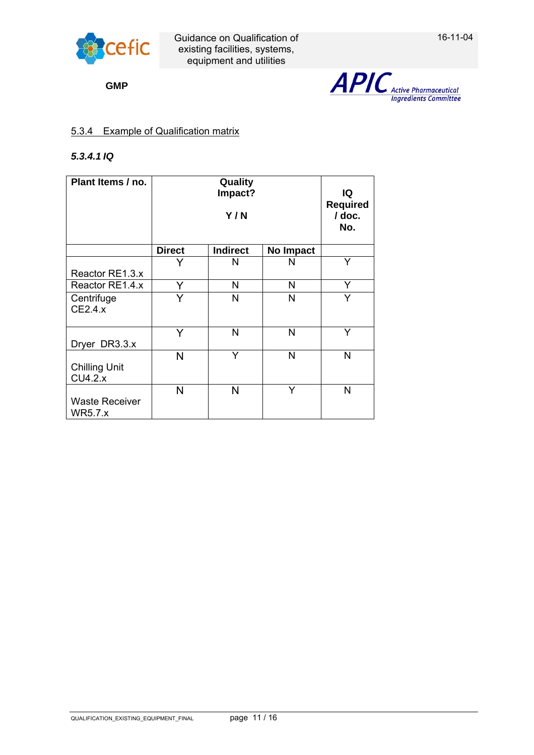

**GMP**



# 5.3.4 Example of Qualification matrix

# *5.3.4.1 IQ*

| Plant Items / no.                       | Quality<br>Impact?<br>Y/N |                 |           | IQ<br><b>Required</b><br>/ doc.<br>No. |
|-----------------------------------------|---------------------------|-----------------|-----------|----------------------------------------|
|                                         | <b>Direct</b>             | <b>Indirect</b> | No Impact |                                        |
|                                         | Y                         | N               | N         | Y                                      |
| Reactor RE1.3.x                         |                           |                 |           |                                        |
| Reactor RE1.4.x                         | Y                         | N               | N         | Y                                      |
| Centrifuge<br>CE2.4.x                   | Y                         | N               | N         | Y                                      |
| Dryer DR3.3.x                           | Y                         | N               | N         | Y                                      |
| <b>Chilling Unit</b><br>CU4.2.x         | N                         | Ÿ               | N         | N                                      |
| <b>Waste Receiver</b><br><b>WR5.7.x</b> | N                         | N               | Y         | N                                      |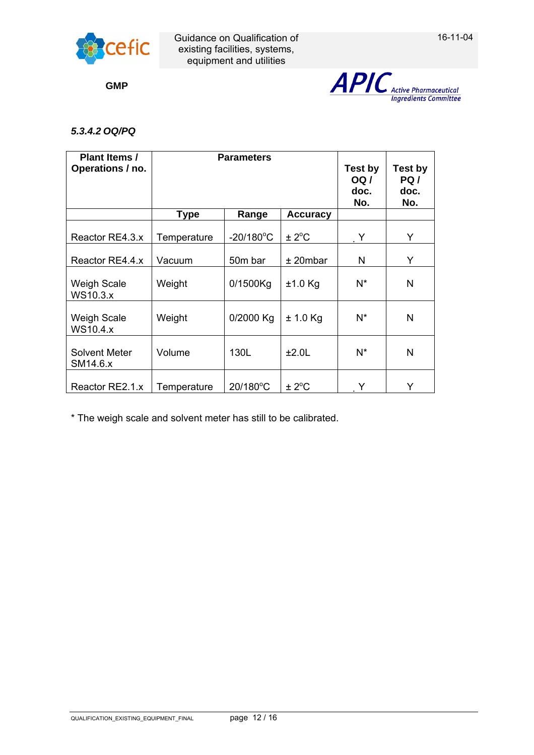

**GMP**



# *5.3.4.2 OQ/PQ*

| Plant Items /<br>Operations / no.     | <b>Parameters</b> |                     |                   | Test by<br><b>OQ</b> /<br>doc.<br>No. | Test by<br>PQ /<br>doc.<br>No. |
|---------------------------------------|-------------------|---------------------|-------------------|---------------------------------------|--------------------------------|
|                                       | <b>Type</b>       | Range               | <b>Accuracy</b>   |                                       |                                |
| Reactor RE4.3.x                       | Temperature       | $-20/180^{\circ}$ C | $\pm 2^{\circ}$ C | Y                                     | Y                              |
| Reactor RE4.4.x                       | Vacuum            | 50m bar             | $±$ 20mbar        | N                                     | Y                              |
| <b>Weigh Scale</b><br><b>WS10.3.x</b> | Weight            | 0/1500Kg            | $±1.0$ Kg         | N*                                    | N                              |
| Weigh Scale<br><b>WS10.4.x</b>        | Weight            | 0/2000 Kg           | $± 1.0$ Kg        | N*                                    | N                              |
| <b>Solvent Meter</b><br>SM14.6.x      | Volume            | 130L                | ±2.0L             | N*                                    | N                              |
| Reactor RE2.1.x                       | Temperature       | 20/180°C            | $\pm 2^{\circ}$ C | Y                                     | Y                              |

\* The weigh scale and solvent meter has still to be calibrated.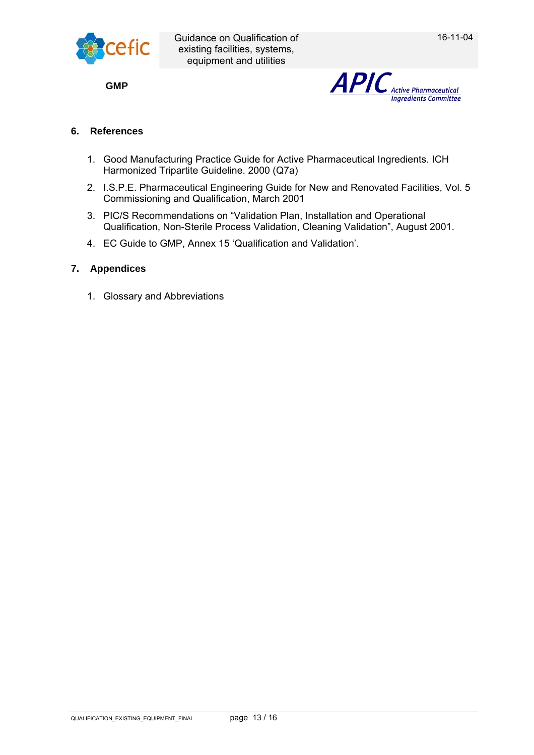



# **6. References**

- 1. Good Manufacturing Practice Guide for Active Pharmaceutical Ingredients. ICH Harmonized Tripartite Guideline. 2000 (Q7a)
- 2. I.S.P.E. Pharmaceutical Engineering Guide for New and Renovated Facilities, Vol. 5 Commissioning and Qualification, March 2001
- 3. PIC/S Recommendations on "Validation Plan, Installation and Operational Qualification, Non-Sterile Process Validation, Cleaning Validation", August 2001.
- 4. EC Guide to GMP, Annex 15 'Qualification and Validation'.

# **7. Appendices**

1. Glossary and Abbreviations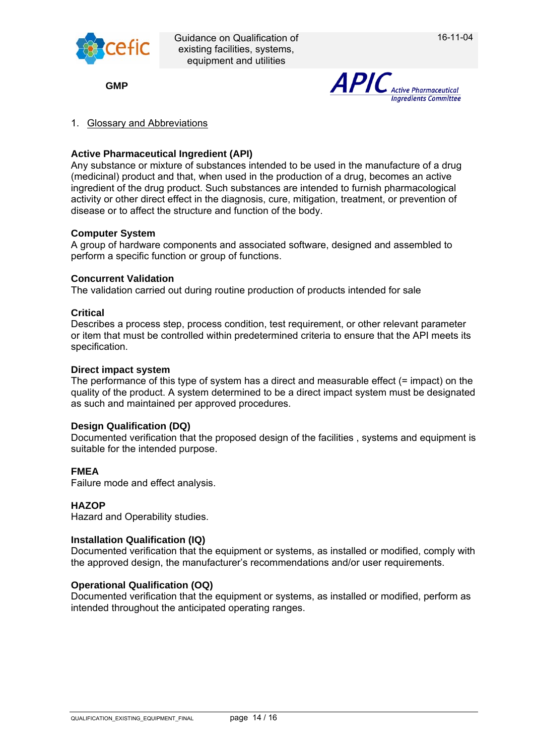

**GMP**



# 1. Glossary and Abbreviations

# **Active Pharmaceutical Ingredient (API)**

Any substance or mixture of substances intended to be used in the manufacture of a drug (medicinal) product and that, when used in the production of a drug, becomes an active ingredient of the drug product. Such substances are intended to furnish pharmacological activity or other direct effect in the diagnosis, cure, mitigation, treatment, or prevention of disease or to affect the structure and function of the body.

# **Computer System**

A group of hardware components and associated software, designed and assembled to perform a specific function or group of functions.

#### **Concurrent Validation**

The validation carried out during routine production of products intended for sale

### **Critical**

Describes a process step, process condition, test requirement, or other relevant parameter or item that must be controlled within predetermined criteria to ensure that the API meets its specification.

#### **Direct impact system**

The performance of this type of system has a direct and measurable effect (= impact) on the quality of the product. A system determined to be a direct impact system must be designated as such and maintained per approved procedures.

#### **Design Qualification (DQ)**

Documented verification that the proposed design of the facilities , systems and equipment is suitable for the intended purpose.

# **FMEA**

Failure mode and effect analysis.

#### **HAZOP**

Hazard and Operability studies.

#### **Installation Qualification (IQ)**

Documented verification that the equipment or systems, as installed or modified, comply with the approved design, the manufacturer's recommendations and/or user requirements.

#### **Operational Qualification (OQ)**

Documented verification that the equipment or systems, as installed or modified, perform as intended throughout the anticipated operating ranges.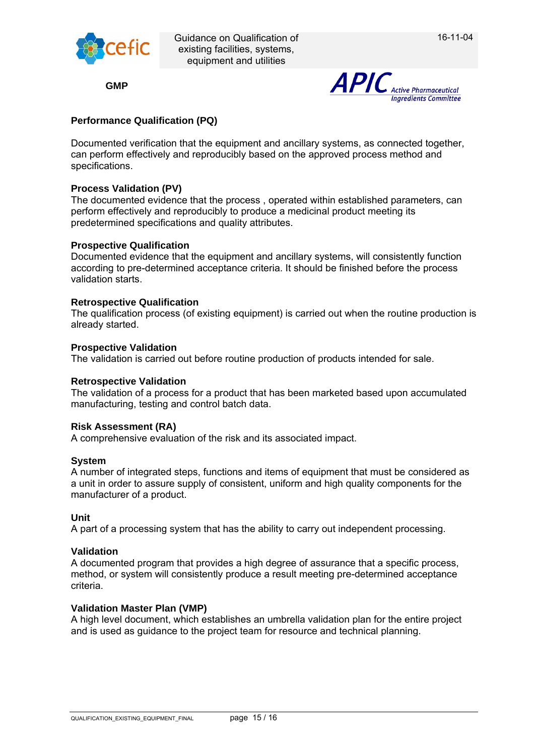

**GMP**



# **Performance Qualification (PQ)**

Documented verification that the equipment and ancillary systems, as connected together, can perform effectively and reproducibly based on the approved process method and specifications.

## **Process Validation (PV)**

The documented evidence that the process , operated within established parameters, can perform effectively and reproducibly to produce a medicinal product meeting its predetermined specifications and quality attributes.

### **Prospective Qualification**

Documented evidence that the equipment and ancillary systems, will consistently function according to pre-determined acceptance criteria. It should be finished before the process validation starts.

### **Retrospective Qualification**

The qualification process (of existing equipment) is carried out when the routine production is already started.

#### **Prospective Validation**

The validation is carried out before routine production of products intended for sale.

#### **Retrospective Validation**

The validation of a process for a product that has been marketed based upon accumulated manufacturing, testing and control batch data.

#### **Risk Assessment (RA)**

A comprehensive evaluation of the risk and its associated impact.

#### **System**

A number of integrated steps, functions and items of equipment that must be considered as a unit in order to assure supply of consistent, uniform and high quality components for the manufacturer of a product.

#### **Unit**

A part of a processing system that has the ability to carry out independent processing.

#### **Validation**

A documented program that provides a high degree of assurance that a specific process, method, or system will consistently produce a result meeting pre-determined acceptance criteria.

#### **Validation Master Plan (VMP)**

A high level document, which establishes an umbrella validation plan for the entire project and is used as guidance to the project team for resource and technical planning.